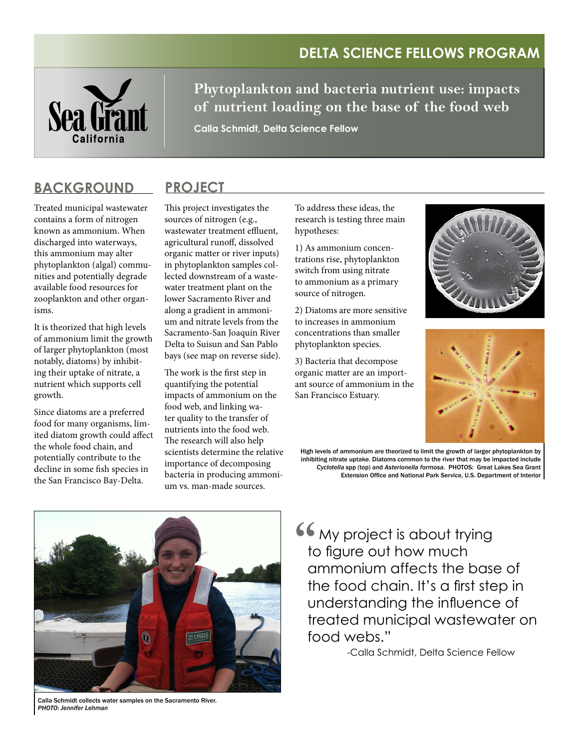## **Delta Science Fellows Program**



**Phytoplankton and bacteria nutrient use: impacts of nutrient loading on the base of the food web**

**Calla Schmidt, Delta Science Fellow**

### **Background ProJECT**

Treated municipal wastewater contains a form of nitrogen known as ammonium. When discharged into waterways, this ammonium may alter phytoplankton (algal) communities and potentially degrade available food resources for zooplankton and other organisms.

It is theorized that high levels of ammonium limit the growth of larger phytoplankton (most notably, diatoms) by inhibiting their uptake of nitrate, a nutrient which supports cell growth.

Since diatoms are a preferred food for many organisms, limited diatom growth could affect the whole food chain, and potentially contribute to the decline in some fish species in the San Francisco Bay-Delta.

This project investigates the sources of nitrogen (e.g., wastewater treatment effluent, agricultural runoff, dissolved organic matter or river inputs) in phytoplankton samples collected downstream of a wastewater treatment plant on the lower Sacramento River and along a gradient in ammonium and nitrate levels from the Sacramento-San Joaquin River Delta to Suisun and San Pablo bays (see map on reverse side).

The work is the first step in quantifying the potential impacts of ammonium on the food web, and linking water quality to the transfer of nutrients into the food web. The research will also help scientists determine the relative importance of decomposing bacteria in producing ammonium vs. man-made sources.

To address these ideas, the research is testing three main hypotheses:

1) As ammonium concentrations rise, phytoplankton switch from using nitrate to ammonium as a primary source of nitrogen.

2) Diatoms are more sensitive to increases in ammonium concentrations than smaller phytoplankton species.

3) Bacteria that decompose organic matter are an important source of ammonium in the San Francisco Estuary.





High levels of ammonium are theorized to limit the growth of larger phytoplankton by inhibiting nitrate uptake. Diatoms common to the river that may be impacted include *Cyclotella* spp (top) and *Asterionella formosa*. PHOTOS: Great Lakes Sea Grant Extension Office and National Park Service, U.S. Department of Interior



My project is about trying to figure out how much ammonium affects the base of the food chain. It's a first step in understanding the influence of treated municipal wastewater on food webs."  $\frac{1}{2}$ 

-Calla Schmidt, Delta Science Fellow

Calla Schmidt collects water samples on the Sacramento River. *PHOTO: Jennifer Lehman*